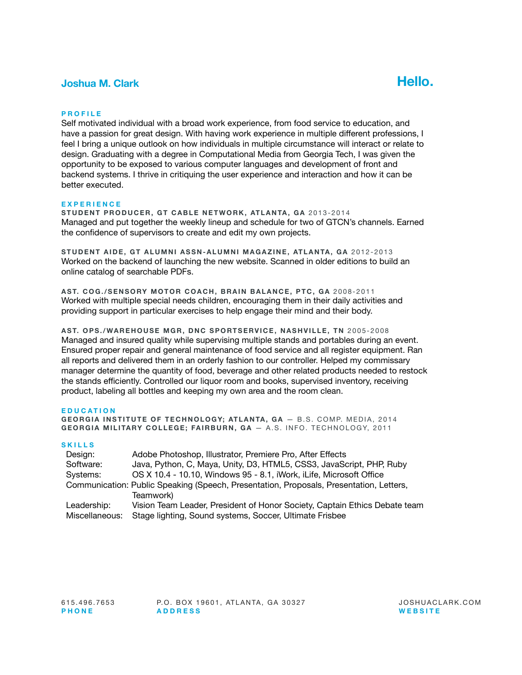# **Joshua M. Clark Hello.**



### **PROFILE**

Self motivated individual with a broad work experience, from food service to education, and have a passion for great design. With having work experience in multiple different professions, I feel I bring a unique outlook on how individuals in multiple circumstance will interact or relate to design. Graduating with a degree in Computational Media from Georgia Tech, I was given the opportunity to be exposed to various computer languages and development of front and backend systems. I thrive in critiquing the user experience and interaction and how it can be better executed.

#### **EXPERIENCE**

**STUDENT PRODUCER, GT CABLE NETWORK, ATLANTA, GA** 2013-2014 Managed and put together the weekly lineup and schedule for two of GTCN's channels. Earned the confidence of supervisors to create and edit my own projects.

**STUDENT AIDE, GT ALUMNI ASSN-ALUMNI MAGAZINE, ATLANTA, GA** 2012-2013 Worked on the backend of launching the new website. Scanned in older editions to build an online catalog of searchable PDFs.

**AST. COG./SENSORY MOTOR COACH, BRAIN BALANCE, PTC, GA** 2008-2011 Worked with multiple special needs children, encouraging them in their daily activities and providing support in particular exercises to help engage their mind and their body.

**AST. OPS./WAREHOUSE MGR, DNC SPORTSERVICE, NASHVILLE, TN** 2005-2008 Managed and insured quality while supervising multiple stands and portables during an event. Ensured proper repair and general maintenance of food service and all register equipment. Ran all reports and delivered them in an orderly fashion to our controller. Helped my commissary manager determine the quantity of food, beverage and other related products needed to restock the stands efficiently. Controlled our liquor room and books, supervised inventory, receiving product, labeling all bottles and keeping my own area and the room clean.

#### **EDUCATION**

**GEORGIA INSTITUTE OF TECHNOLOGY: ATLANTA, GA - B.S. COMP. MEDIA, 2014 GEORGIA MILITARY COLLEGE; FAIRBURN, GA - A.S. INFO. TECHNOLOGY, 2011** 

#### **SKILLS**

| Design:                                                                                 | Adobe Photoshop, Illustrator, Premiere Pro, After Effects                  |
|-----------------------------------------------------------------------------------------|----------------------------------------------------------------------------|
| Software:                                                                               | Java, Python, C, Maya, Unity, D3, HTML5, CSS3, JavaScript, PHP, Ruby       |
| Systems:                                                                                | OS X 10.4 - 10.10, Windows 95 - 8.1, iWork, iLife, Microsoft Office        |
| Communication: Public Speaking (Speech, Presentation, Proposals, Presentation, Letters, |                                                                            |
|                                                                                         | Teamwork)                                                                  |
| Leadership:                                                                             | Vision Team Leader, President of Honor Society, Captain Ethics Debate team |
| Miscellaneous:                                                                          | Stage lighting, Sound systems, Soccer, Ultimate Frisbee                    |